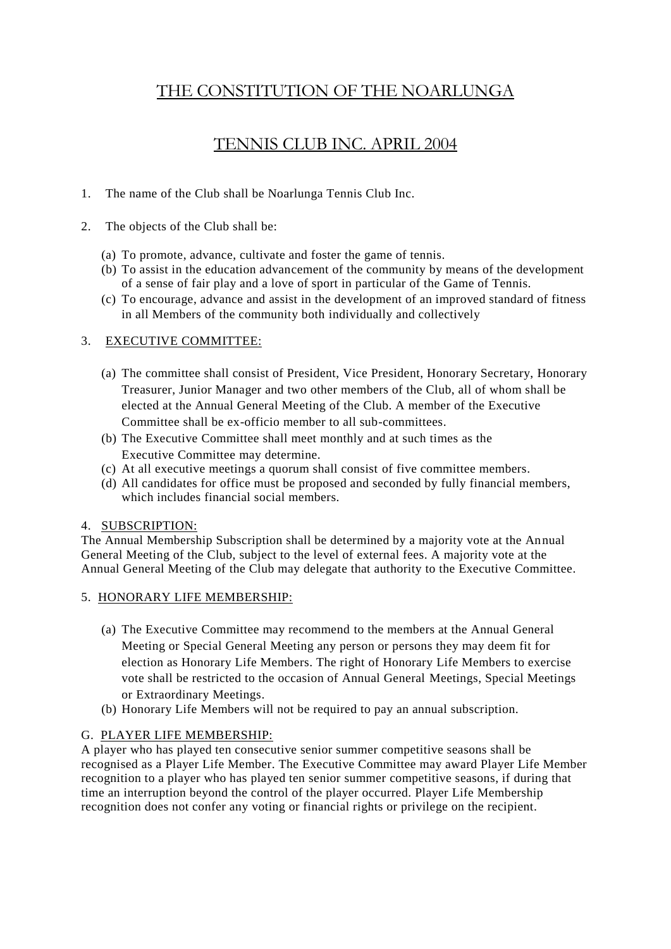# THE CONSTITUTION OF THE NOARLUNGA

# TENNIS CLUB INC. APRIL 2004

1. The name of the Club shall be Noarlunga Tennis Club Inc.

## 2. The objects of the Club shall be:

- (a) To promote, advance, cultivate and foster the game of tennis.
- (b) To assist in the education advancement of the community by means of the development of a sense of fair play and a love of sport in particular of the Game of Tennis.
- (c) To encourage, advance and assist in the development of an improved standard of fitness in all Members of the community both individually and collectively

## 3. EXECUTIVE COMMITTEE:

- (a) The committee shall consist of President, Vice President, Honorary Secretary, Honorary Treasurer, Junior Manager and two other members of the Club, all of whom shall be elected at the Annual General Meeting of the Club. A member of the Executive Committee shall be ex-officio member to all sub-committees.
- (b) The Executive Committee shall meet monthly and at such times as the Executive Committee may determine.
- (c) At all executive meetings a quorum shall consist of five committee members.
- (d) All candidates for office must be proposed and seconded by fully financial members, which includes financial social members.

## 4. SUBSCRIPTION:

The Annual Membership Subscription shall be determined by a majority vote at the Annual General Meeting of the Club, subject to the level of external fees. A majority vote at the Annual General Meeting of the Club may delegate that authority to the Executive Committee.

## 5. HONORARY LIFE MEMBERSHIP:

- (a) The Executive Committee may recommend to the members at the Annual General Meeting or Special General Meeting any person or persons they may deem fit for election as Honorary Life Members. The right of Honorary Life Members to exercise vote shall be restricted to the occasion of Annual General Meetings, Special Meetings or Extraordinary Meetings.
- (b) Honorary Life Members will not be required to pay an annual subscription.

## G. PLAYER LIFE MEMBERSHIP:

A player who has played ten consecutive senior summer competitive seasons shall be recognised as a Player Life Member. The Executive Committee may award Player Life Member recognition to a player who has played ten senior summer competitive seasons, if during that time an interruption beyond the control of the player occurred. Player Life Membership recognition does not confer any voting or financial rights or privilege on the recipient.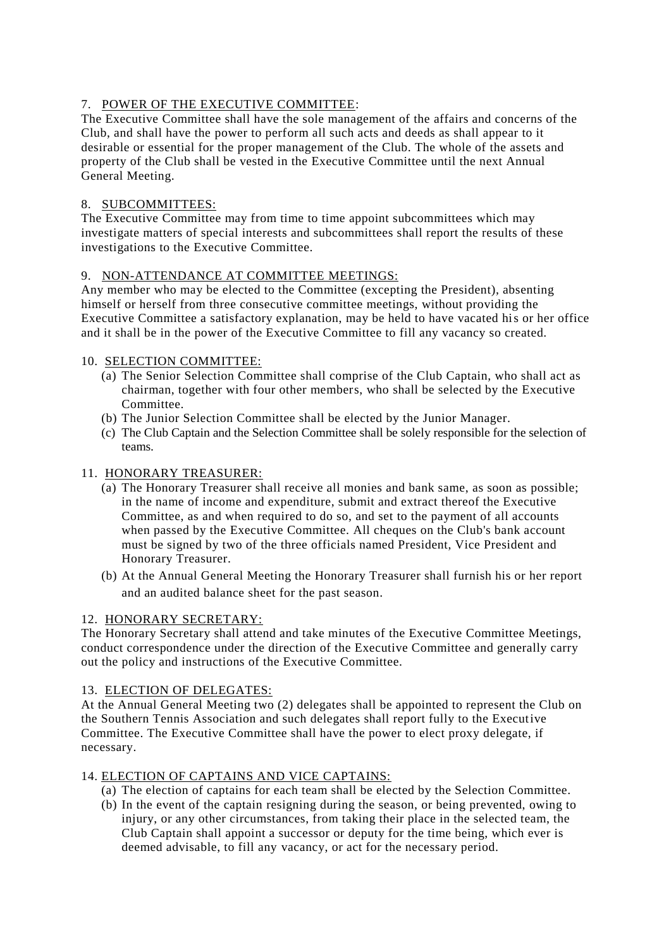## 7. POWER OF THE EXECUTIVE COMMITTEE:

The Executive Committee shall have the sole management of the affairs and concerns of the Club, and shall have the power to perform all such acts and deeds as shall appear to it desirable or essential for the proper management of the Club. The whole of the assets and property of the Club shall be vested in the Executive Committee until the next Annual General Meeting.

## 8. SUBCOMMITTEES:

The Executive Committee may from time to time appoint subcommittees which may investigate matters of special interests and subcommittees shall report the results of these investigations to the Executive Committee.

#### 9. NON-ATTENDANCE AT COMMITTEE MEETINGS:

Any member who may be elected to the Committee (excepting the President), absenting himself or herself from three consecutive committee meetings, without providing the Executive Committee a satisfactory explanation, may be held to have vacated his or her office and it shall be in the power of the Executive Committee to fill any vacancy so created.

#### 10. SELECTION COMMITTEE:

- (a) The Senior Selection Committee shall comprise of the Club Captain, who shall act as chairman, together with four other members, who shall be selected by the Executive Committee.
- (b) The Junior Selection Committee shall be elected by the Junior Manager.
- (c) The Club Captain and the Selection Committee shall be solely responsible for the selection of teams.

#### 11. HONORARY TREASURER:

- (a) The Honorary Treasurer shall receive all monies and bank same, as soon as possible; in the name of income and expenditure, submit and extract thereof the Executive Committee, as and when required to do so, and set to the payment of all accounts when passed by the Executive Committee. All cheques on the Club's bank account must be signed by two of the three officials named President, Vice President and Honorary Treasurer.
- (b) At the Annual General Meeting the Honorary Treasurer shall furnish his or her report and an audited balance sheet for the past season.

### 12. HONORARY SECRETARY:

The Honorary Secretary shall attend and take minutes of the Executive Committee Meetings, conduct correspondence under the direction of the Executive Committee and generally carry out the policy and instructions of the Executive Committee.

#### 13. ELECTION OF DELEGATES:

At the Annual General Meeting two (2) delegates shall be appointed to represent the Club on the Southern Tennis Association and such delegates shall report fully to the Executive Committee. The Executive Committee shall have the power to elect proxy delegate, if necessary.

#### 14. ELECTION OF CAPTAINS AND VICE CAPTAINS:

- (a) The election of captains for each team shall be elected by the Selection Committee.
- (b) In the event of the captain resigning during the season, or being prevented, owing to injury, or any other circumstances, from taking their place in the selected team, the Club Captain shall appoint a successor or deputy for the time being, which ever is deemed advisable, to fill any vacancy, or act for the necessary period.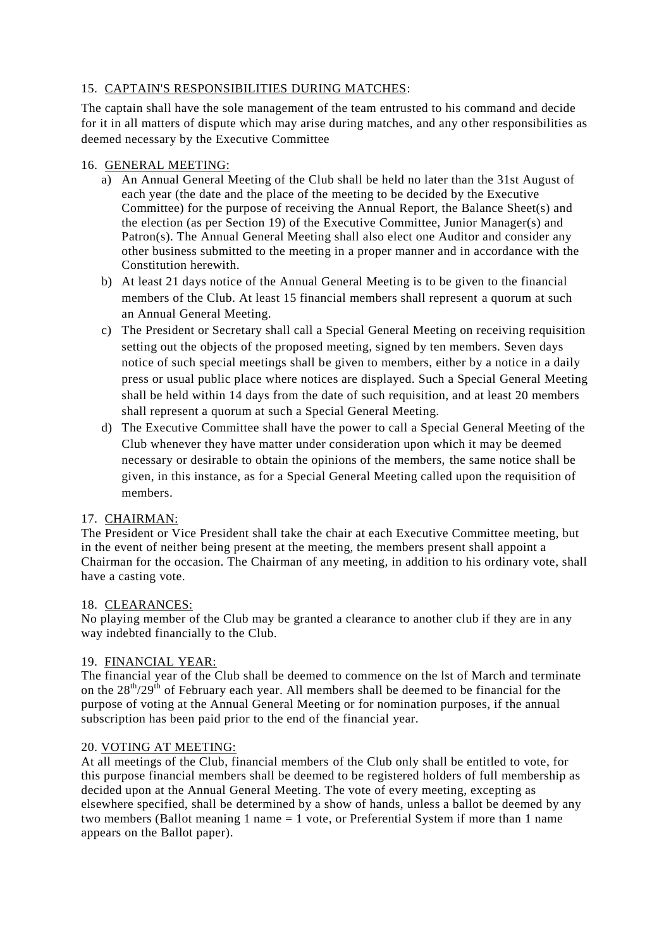## 15. CAPTAIN'S RESPONSIBILITIES DURING MATCHES:

The captain shall have the sole management of the team entrusted to his command and decide for it in all matters of dispute which may arise during matches, and any other responsibilities as deemed necessary by the Executive Committee

## 16. GENERAL MEETING:

- a) An Annual General Meeting of the Club shall be held no later than the 31st August of each year (the date and the place of the meeting to be decided by the Executive Committee) for the purpose of receiving the Annual Report, the Balance Sheet(s) and the election (as per Section 19) of the Executive Committee, Junior Manager(s) and Patron(s). The Annual General Meeting shall also elect one Auditor and consider any other business submitted to the meeting in a proper manner and in accordance with the Constitution herewith.
- b) At least 21 days notice of the Annual General Meeting is to be given to the financial members of the Club. At least 15 financial members shall represent a quorum at such an Annual General Meeting.
- c) The President or Secretary shall call a Special General Meeting on receiving requisition setting out the objects of the proposed meeting, signed by ten members. Seven days notice of such special meetings shall be given to members, either by a notice in a daily press or usual public place where notices are displayed. Such a Special General Meeting shall be held within 14 days from the date of such requisition, and at least 20 members shall represent a quorum at such a Special General Meeting.
- d) The Executive Committee shall have the power to call a Special General Meeting of the Club whenever they have matter under consideration upon which it may be deemed necessary or desirable to obtain the opinions of the members, the same notice shall be given, in this instance, as for a Special General Meeting called upon the requisition of members.

## 17. CHAIRMAN:

The President or Vice President shall take the chair at each Executive Committee meeting, but in the event of neither being present at the meeting, the members present shall appoint a Chairman for the occasion. The Chairman of any meeting, in addition to his ordinary vote, shall have a casting vote.

## 18. CLEARANCES:

No playing member of the Club may be granted a clearance to another club if they are in any way indebted financially to the Club.

## 19. FINANCIAL YEAR:

The financial year of the Club shall be deemed to commence on the lst of March and terminate on the  $28<sup>th</sup>/29<sup>th</sup>$  of February each year. All members shall be deemed to be financial for the purpose of voting at the Annual General Meeting or for nomination purposes, if the annual subscription has been paid prior to the end of the financial year.

## 20. VOTING AT MEETING:

At all meetings of the Club, financial members of the Club only shall be entitled to vote, for this purpose financial members shall be deemed to be registered holders of full membership as decided upon at the Annual General Meeting. The vote of every meeting, excepting as elsewhere specified, shall be determined by a show of hands, unless a ballot be deemed by any two members (Ballot meaning 1 name = 1 vote, or Preferential System if more than 1 name appears on the Ballot paper).